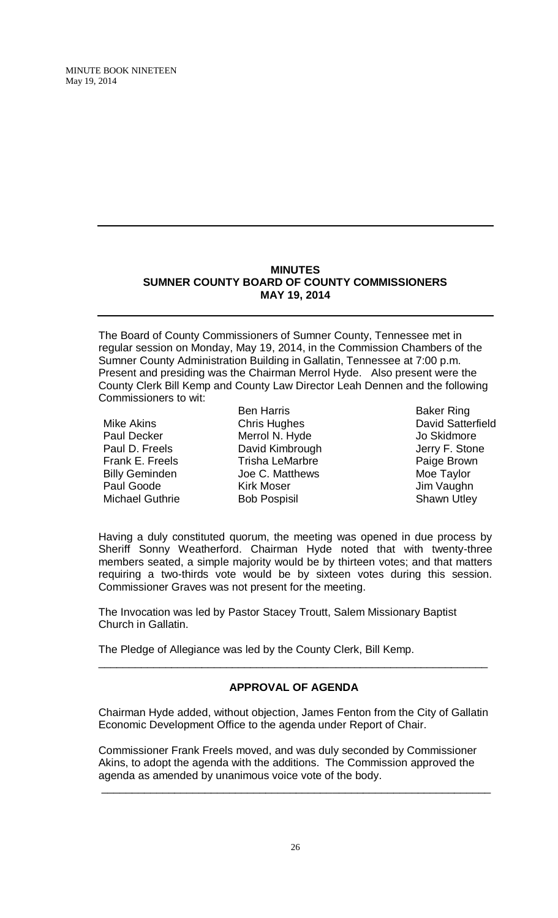# **MINUTES SUMNER COUNTY BOARD OF COUNTY COMMISSIONERS MAY 19, 2014**

The Board of County Commissioners of Sumner County, Tennessee met in regular session on Monday, May 19, 2014, in the Commission Chambers of the Sumner County Administration Building in Gallatin, Tennessee at 7:00 p.m. Present and presiding was the Chairman Merrol Hyde. Also present were the County Clerk Bill Kemp and County Law Director Leah Dennen and the following Commissioners to wit:

- Mike Akins Paul Decker Paul D. Freels Frank E. Freels Billy Geminden Paul Goode Michael Guthrie
- Ben Harris Chris Hughes Merrol N. Hyde David Kimbrough Trisha LeMarbre Joe C. Matthews Kirk Moser Bob Pospisil
- Baker Ring David Satterfield Jo Skidmore Jerry F. Stone Paige Brown Moe Taylor Jim Vaughn Shawn Utley

Having a duly constituted quorum, the meeting was opened in due process by Sheriff Sonny Weatherford. Chairman Hyde noted that with twenty-three members seated, a simple majority would be by thirteen votes; and that matters requiring a two-thirds vote would be by sixteen votes during this session. Commissioner Graves was not present for the meeting.

The Invocation was led by Pastor Stacey Troutt, Salem Missionary Baptist Church in Gallatin.

The Pledge of Allegiance was led by the County Clerk, Bill Kemp.

# **APPROVAL OF AGENDA**

\_\_\_\_\_\_\_\_\_\_\_\_\_\_\_\_\_\_\_\_\_\_\_\_\_\_\_\_\_\_\_\_\_\_\_\_\_\_\_\_\_\_\_\_\_\_\_\_\_\_\_\_\_\_\_\_\_\_\_\_\_\_\_\_

Chairman Hyde added, without objection, James Fenton from the City of Gallatin Economic Development Office to the agenda under Report of Chair.

Commissioner Frank Freels moved, and was duly seconded by Commissioner Akins, to adopt the agenda with the additions. The Commission approved the agenda as amended by unanimous voice vote of the body.

\_\_\_\_\_\_\_\_\_\_\_\_\_\_\_\_\_\_\_\_\_\_\_\_\_\_\_\_\_\_\_\_\_\_\_\_\_\_\_\_\_\_\_\_\_\_\_\_\_\_\_\_\_\_\_\_\_\_\_\_\_\_\_\_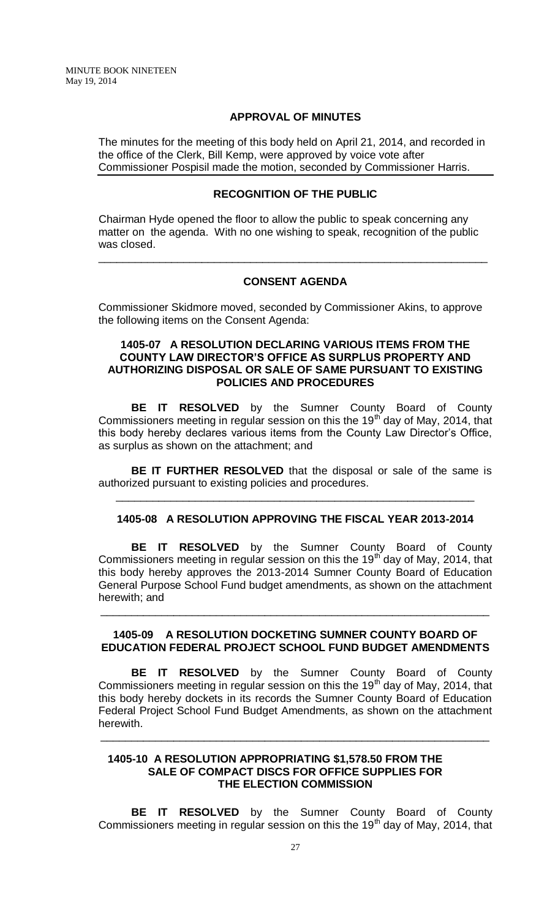### **APPROVAL OF MINUTES**

The minutes for the meeting of this body held on April 21, 2014, and recorded in the office of the Clerk, Bill Kemp, were approved by voice vote after Commissioner Pospisil made the motion, seconded by Commissioner Harris.

# **RECOGNITION OF THE PUBLIC**

Chairman Hyde opened the floor to allow the public to speak concerning any matter on the agenda. With no one wishing to speak, recognition of the public was closed.

# **CONSENT AGENDA**

\_\_\_\_\_\_\_\_\_\_\_\_\_\_\_\_\_\_\_\_\_\_\_\_\_\_\_\_\_\_\_\_\_\_\_\_\_\_\_\_\_\_\_\_\_\_\_\_\_\_\_\_\_\_\_\_\_\_\_\_\_\_\_\_

Commissioner Skidmore moved, seconded by Commissioner Akins, to approve the following items on the Consent Agenda:

# **1405-07 A RESOLUTION DECLARING VARIOUS ITEMS FROM THE COUNTY LAW DIRECTOR'S OFFICE AS SURPLUS PROPERTY AND AUTHORIZING DISPOSAL OR SALE OF SAME PURSUANT TO EXISTING POLICIES AND PROCEDURES**

**BE IT RESOLVED** by the Sumner County Board of County Commissioners meeting in regular session on this the 19<sup>th</sup> day of May, 2014, that this body hereby declares various items from the County Law Director's Office, as surplus as shown on the attachment; and

**BE IT FURTHER RESOLVED** that the disposal or sale of the same is authorized pursuant to existing policies and procedures.

\_\_\_\_\_\_\_\_\_\_\_\_\_\_\_\_\_\_\_\_\_\_\_\_\_\_\_\_\_\_\_\_\_\_\_\_\_\_\_\_\_\_\_\_\_\_\_\_\_\_\_\_\_\_\_\_\_\_\_

# **1405-08 A RESOLUTION APPROVING THE FISCAL YEAR 2013-2014**

**BE IT RESOLVED** by the Sumner County Board of County Commissioners meeting in regular session on this the 19<sup>th</sup> day of May, 2014, that this body hereby approves the 2013-2014 Sumner County Board of Education General Purpose School Fund budget amendments, as shown on the attachment herewith; and

# **1405-09 A RESOLUTION DOCKETING SUMNER COUNTY BOARD OF EDUCATION FEDERAL PROJECT SCHOOL FUND BUDGET AMENDMENTS**

\_\_\_\_\_\_\_\_\_\_\_\_\_\_\_\_\_\_\_\_\_\_\_\_\_\_\_\_\_\_\_\_\_\_\_\_\_\_\_\_\_\_\_\_\_\_\_\_\_\_\_\_\_\_\_\_\_\_\_\_\_\_\_\_

**BE IT RESOLVED** by the Sumner County Board of County Commissioners meeting in regular session on this the 19<sup>th</sup> day of May, 2014, that this body hereby dockets in its records the Sumner County Board of Education Federal Project School Fund Budget Amendments, as shown on the attachment herewith.

\_\_\_\_\_\_\_\_\_\_\_\_\_\_\_\_\_\_\_\_\_\_\_\_\_\_\_\_\_\_\_\_\_\_\_\_\_\_\_\_\_\_\_\_\_\_\_\_\_\_\_\_\_\_\_\_\_\_\_\_\_\_\_\_

### **1405-10 A RESOLUTION APPROPRIATING \$1,578.50 FROM THE SALE OF COMPACT DISCS FOR OFFICE SUPPLIES FOR THE ELECTION COMMISSION**

**BE IT RESOLVED** by the Sumner County Board of County Commissioners meeting in regular session on this the 19<sup>th</sup> day of May, 2014, that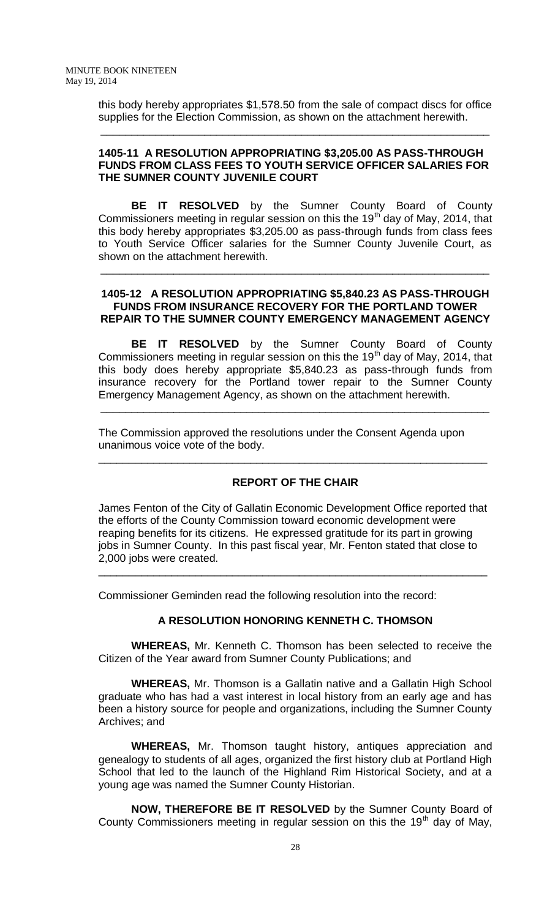this body hereby appropriates \$1,578.50 from the sale of compact discs for office supplies for the Election Commission, as shown on the attachment herewith.

\_\_\_\_\_\_\_\_\_\_\_\_\_\_\_\_\_\_\_\_\_\_\_\_\_\_\_\_\_\_\_\_\_\_\_\_\_\_\_\_\_\_\_\_\_\_\_\_\_\_\_\_\_\_\_\_\_\_\_\_\_\_\_\_

# **1405-11 A RESOLUTION APPROPRIATING \$3,205.00 AS PASS-THROUGH FUNDS FROM CLASS FEES TO YOUTH SERVICE OFFICER SALARIES FOR THE SUMNER COUNTY JUVENILE COURT**

**BE IT RESOLVED** by the Sumner County Board of County Commissioners meeting in regular session on this the 19<sup>th</sup> day of May, 2014, that this body hereby appropriates \$3,205.00 as pass-through funds from class fees to Youth Service Officer salaries for the Sumner County Juvenile Court, as shown on the attachment herewith.

# **1405-12 A RESOLUTION APPROPRIATING \$5,840.23 AS PASS-THROUGH FUNDS FROM INSURANCE RECOVERY FOR THE PORTLAND TOWER REPAIR TO THE SUMNER COUNTY EMERGENCY MANAGEMENT AGENCY**

\_\_\_\_\_\_\_\_\_\_\_\_\_\_\_\_\_\_\_\_\_\_\_\_\_\_\_\_\_\_\_\_\_\_\_\_\_\_\_\_\_\_\_\_\_\_\_\_\_\_\_\_\_\_\_\_\_\_\_\_\_\_\_\_

**BE IT RESOLVED** by the Sumner County Board of County Commissioners meeting in regular session on this the 19<sup>th</sup> day of May, 2014, that this body does hereby appropriate \$5,840.23 as pass-through funds from insurance recovery for the Portland tower repair to the Sumner County Emergency Management Agency, as shown on the attachment herewith.

\_\_\_\_\_\_\_\_\_\_\_\_\_\_\_\_\_\_\_\_\_\_\_\_\_\_\_\_\_\_\_\_\_\_\_\_\_\_\_\_\_\_\_\_\_\_\_\_\_\_\_\_\_\_\_\_\_\_\_\_\_\_\_\_

The Commission approved the resolutions under the Consent Agenda upon unanimous voice vote of the body.

# **REPORT OF THE CHAIR**

\_\_\_\_\_\_\_\_\_\_\_\_\_\_\_\_\_\_\_\_\_\_\_\_\_\_\_\_\_\_\_\_\_\_\_\_\_\_\_\_\_\_\_\_\_\_\_\_\_\_\_\_\_\_\_\_\_\_\_\_\_\_\_\_

James Fenton of the City of Gallatin Economic Development Office reported that the efforts of the County Commission toward economic development were reaping benefits for its citizens. He expressed gratitude for its part in growing jobs in Sumner County. In this past fiscal year, Mr. Fenton stated that close to 2,000 jobs were created.

\_\_\_\_\_\_\_\_\_\_\_\_\_\_\_\_\_\_\_\_\_\_\_\_\_\_\_\_\_\_\_\_\_\_\_\_\_\_\_\_\_\_\_\_\_\_\_\_\_\_\_\_\_\_\_\_\_\_\_\_\_\_\_\_

Commissioner Geminden read the following resolution into the record:

# **A RESOLUTION HONORING KENNETH C. THOMSON**

**WHEREAS,** Mr. Kenneth C. Thomson has been selected to receive the Citizen of the Year award from Sumner County Publications; and

**WHEREAS,** Mr. Thomson is a Gallatin native and a Gallatin High School graduate who has had a vast interest in local history from an early age and has been a history source for people and organizations, including the Sumner County Archives; and

**WHEREAS,** Mr. Thomson taught history, antiques appreciation and genealogy to students of all ages, organized the first history club at Portland High School that led to the launch of the Highland Rim Historical Society, and at a young age was named the Sumner County Historian.

**NOW, THEREFORE BE IT RESOLVED** by the Sumner County Board of County Commissioners meeting in regular session on this the 19<sup>th</sup> day of May,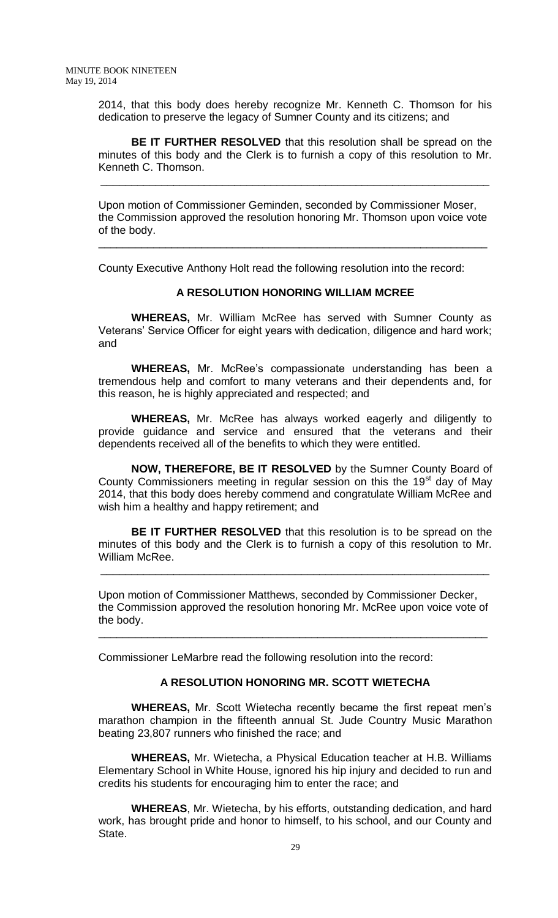2014, that this body does hereby recognize Mr. Kenneth C. Thomson for his dedication to preserve the legacy of Sumner County and its citizens; and

**BE IT FURTHER RESOLVED** that this resolution shall be spread on the minutes of this body and the Clerk is to furnish a copy of this resolution to Mr. Kenneth C. Thomson.

\_\_\_\_\_\_\_\_\_\_\_\_\_\_\_\_\_\_\_\_\_\_\_\_\_\_\_\_\_\_\_\_\_\_\_\_\_\_\_\_\_\_\_\_\_\_\_\_\_\_\_\_\_\_\_\_\_\_\_\_\_\_\_\_

Upon motion of Commissioner Geminden, seconded by Commissioner Moser, the Commission approved the resolution honoring Mr. Thomson upon voice vote of the body.

\_\_\_\_\_\_\_\_\_\_\_\_\_\_\_\_\_\_\_\_\_\_\_\_\_\_\_\_\_\_\_\_\_\_\_\_\_\_\_\_\_\_\_\_\_\_\_\_\_\_\_\_\_\_\_\_\_\_\_\_\_\_\_\_

County Executive Anthony Holt read the following resolution into the record:

# **A RESOLUTION HONORING WILLIAM MCREE**

**WHEREAS,** Mr. William McRee has served with Sumner County as Veterans' Service Officer for eight years with dedication, diligence and hard work; and

**WHEREAS,** Mr. McRee's compassionate understanding has been a tremendous help and comfort to many veterans and their dependents and, for this reason, he is highly appreciated and respected; and

**WHEREAS,** Mr. McRee has always worked eagerly and diligently to provide guidance and service and ensured that the veterans and their dependents received all of the benefits to which they were entitled.

**NOW, THEREFORE, BE IT RESOLVED** by the Sumner County Board of County Commissioners meeting in regular session on this the  $19<sup>st</sup>$  day of May 2014, that this body does hereby commend and congratulate William McRee and wish him a healthy and happy retirement; and

**BE IT FURTHER RESOLVED** that this resolution is to be spread on the minutes of this body and the Clerk is to furnish a copy of this resolution to Mr. William McRee.

\_\_\_\_\_\_\_\_\_\_\_\_\_\_\_\_\_\_\_\_\_\_\_\_\_\_\_\_\_\_\_\_\_\_\_\_\_\_\_\_\_\_\_\_\_\_\_\_\_\_\_\_\_\_\_\_\_\_\_\_\_\_\_\_

Upon motion of Commissioner Matthews, seconded by Commissioner Decker, the Commission approved the resolution honoring Mr. McRee upon voice vote of the body.

\_\_\_\_\_\_\_\_\_\_\_\_\_\_\_\_\_\_\_\_\_\_\_\_\_\_\_\_\_\_\_\_\_\_\_\_\_\_\_\_\_\_\_\_\_\_\_\_\_\_\_\_\_\_\_\_\_\_\_\_\_\_\_\_

Commissioner LeMarbre read the following resolution into the record:

# **A RESOLUTION HONORING MR. SCOTT WIETECHA**

**WHEREAS,** Mr. Scott Wietecha recently became the first repeat men's marathon champion in the fifteenth annual St. Jude Country Music Marathon beating 23,807 runners who finished the race; and

**WHEREAS,** Mr. Wietecha, a Physical Education teacher at H.B. Williams Elementary School in White House, ignored his hip injury and decided to run and credits his students for encouraging him to enter the race; and

**WHEREAS**, Mr. Wietecha, by his efforts, outstanding dedication, and hard work, has brought pride and honor to himself, to his school, and our County and State.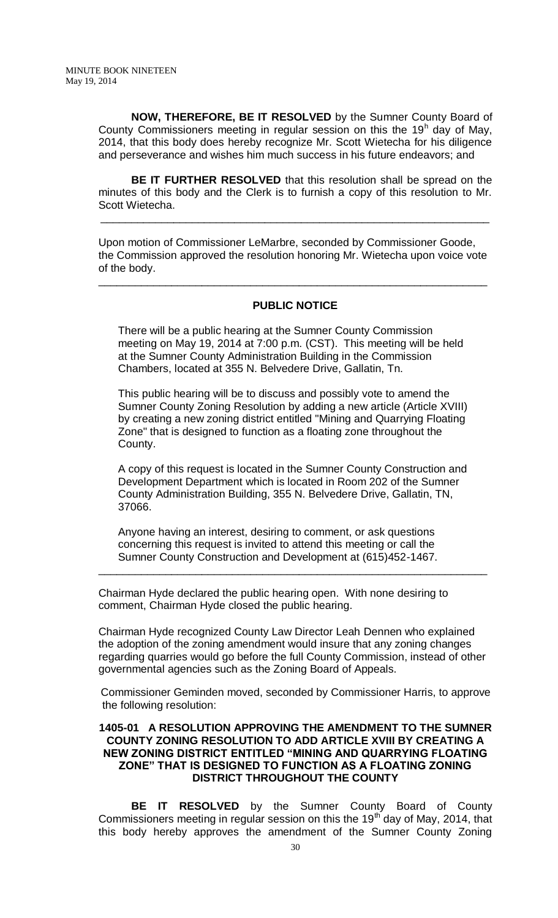**NOW, THEREFORE, BE IT RESOLVED** by the Sumner County Board of County Commissioners meeting in regular session on this the 19 $^{\text{h}}$  day of May, 2014, that this body does hereby recognize Mr. Scott Wietecha for his diligence and perseverance and wishes him much success in his future endeavors; and

**BE IT FURTHER RESOLVED** that this resolution shall be spread on the minutes of this body and the Clerk is to furnish a copy of this resolution to Mr. Scott Wietecha.

\_\_\_\_\_\_\_\_\_\_\_\_\_\_\_\_\_\_\_\_\_\_\_\_\_\_\_\_\_\_\_\_\_\_\_\_\_\_\_\_\_\_\_\_\_\_\_\_\_\_\_\_\_\_\_\_\_\_\_\_\_\_\_\_

Upon motion of Commissioner LeMarbre, seconded by Commissioner Goode, the Commission approved the resolution honoring Mr. Wietecha upon voice vote of the body.

\_\_\_\_\_\_\_\_\_\_\_\_\_\_\_\_\_\_\_\_\_\_\_\_\_\_\_\_\_\_\_\_\_\_\_\_\_\_\_\_\_\_\_\_\_\_\_\_\_\_\_\_\_\_\_\_\_\_\_\_\_\_\_\_

# **PUBLIC NOTICE**

There will be a public hearing at the Sumner County Commission meeting on May 19, 2014 at 7:00 p.m. (CST). This meeting will be held at the Sumner County Administration Building in the Commission Chambers, located at 355 N. Belvedere Drive, Gallatin, Tn.

This public hearing will be to discuss and possibly vote to amend the Sumner County Zoning Resolution by adding a new article (Article XVIII) by creating a new zoning district entitled "Mining and Quarrying Floating Zone" that is designed to function as a floating zone throughout the County.

A copy of this request is located in the Sumner County Construction and Development Department which is located in Room 202 of the Sumner County Administration Building, 355 N. Belvedere Drive, Gallatin, TN, 37066.

Anyone having an interest, desiring to comment, or ask questions concerning this request is invited to attend this meeting or call the Sumner County Construction and Development at (615)452-1467.

Chairman Hyde declared the public hearing open. With none desiring to comment, Chairman Hyde closed the public hearing.

Chairman Hyde recognized County Law Director Leah Dennen who explained the adoption of the zoning amendment would insure that any zoning changes regarding quarries would go before the full County Commission, instead of other governmental agencies such as the Zoning Board of Appeals.

\_\_\_\_\_\_\_\_\_\_\_\_\_\_\_\_\_\_\_\_\_\_\_\_\_\_\_\_\_\_\_\_\_\_\_\_\_\_\_\_\_\_\_\_\_\_\_\_\_\_\_\_\_\_\_\_\_\_\_\_\_\_\_\_

 Commissioner Geminden moved, seconded by Commissioner Harris, to approve the following resolution:

# **1405-01 A RESOLUTION APPROVING THE AMENDMENT TO THE SUMNER COUNTY ZONING RESOLUTION TO ADD ARTICLE XVIII BY CREATING A NEW ZONING DISTRICT ENTITLED "MINING AND QUARRYING FLOATING ZONE" THAT IS DESIGNED TO FUNCTION AS A FLOATING ZONING DISTRICT THROUGHOUT THE COUNTY**

**BE IT RESOLVED** by the Sumner County Board of County Commissioners meeting in regular session on this the 19<sup>th</sup> day of May, 2014, that this body hereby approves the amendment of the Sumner County Zoning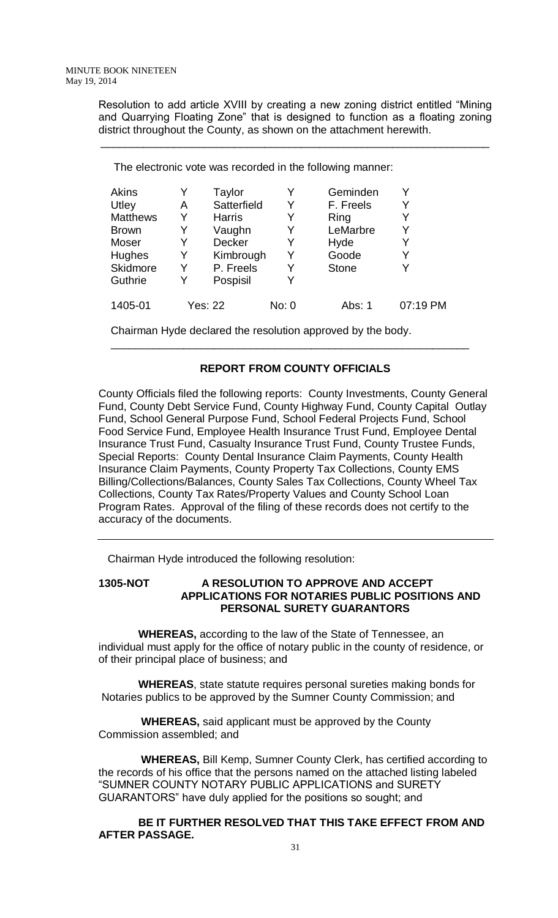Resolution to add article XVIII by creating a new zoning district entitled "Mining and Quarrying Floating Zone" that is designed to function as a floating zoning district throughout the County, as shown on the attachment herewith.

\_\_\_\_\_\_\_\_\_\_\_\_\_\_\_\_\_\_\_\_\_\_\_\_\_\_\_\_\_\_\_\_\_\_\_\_\_\_\_\_\_\_\_\_\_\_\_\_\_\_\_\_\_\_\_\_\_\_\_\_\_\_\_\_

The electronic vote was recorded in the following manner:

| Akins           | Y | Taylor         |       | Geminden     |          |
|-----------------|---|----------------|-------|--------------|----------|
| Utley           | A | Satterfield    | Y     | F. Freels    | Y        |
| <b>Matthews</b> | Y | <b>Harris</b>  | Y     | Ring         |          |
| <b>Brown</b>    | Y | Vaughn         | Y     | LeMarbre     | Y        |
| Moser           | Y | <b>Decker</b>  | Y     | Hyde         | Y        |
| Hughes          | Y | Kimbrough      | Y     | Goode        | Y        |
| Skidmore        | Y | P. Freels      | Y     | <b>Stone</b> | Y        |
| Guthrie         | Y | Pospisil       | Y     |              |          |
| 1405-01         |   | <b>Yes: 22</b> | No: 0 | Abs: 1       | 07:19 PM |

Chairman Hyde declared the resolution approved by the body.

# **REPORT FROM COUNTY OFFICIALS**

\_\_\_\_\_\_\_\_\_\_\_\_\_\_\_\_\_\_\_\_\_\_\_\_\_\_\_\_\_\_\_\_\_\_\_\_\_\_\_\_\_\_\_\_\_\_\_\_\_\_\_\_\_\_\_\_\_\_\_

County Officials filed the following reports: County Investments, County General Fund, County Debt Service Fund, County Highway Fund, County Capital Outlay Fund, School General Purpose Fund, School Federal Projects Fund, School Food Service Fund, Employee Health Insurance Trust Fund, Employee Dental Insurance Trust Fund, Casualty Insurance Trust Fund, County Trustee Funds, Special Reports: County Dental Insurance Claim Payments, County Health Insurance Claim Payments, County Property Tax Collections, County EMS Billing/Collections/Balances, County Sales Tax Collections, County Wheel Tax Collections, County Tax Rates/Property Values and County School Loan Program Rates. Approval of the filing of these records does not certify to the accuracy of the documents.

Chairman Hyde introduced the following resolution:

# **1305-NOT A RESOLUTION TO APPROVE AND ACCEPT APPLICATIONS FOR NOTARIES PUBLIC POSITIONS AND PERSONAL SURETY GUARANTORS**

 **WHEREAS,** according to the law of the State of Tennessee, an individual must apply for the office of notary public in the county of residence, or of their principal place of business; and

 **WHEREAS**, state statute requires personal sureties making bonds for Notaries publics to be approved by the Sumner County Commission; and

 **WHEREAS,** said applicant must be approved by the County Commission assembled; and

 **WHEREAS,** Bill Kemp, Sumner County Clerk, has certified according to the records of his office that the persons named on the attached listing labeled "SUMNER COUNTY NOTARY PUBLIC APPLICATIONS and SURETY GUARANTORS" have duly applied for the positions so sought; and

 **BE IT FURTHER RESOLVED THAT THIS TAKE EFFECT FROM AND AFTER PASSAGE.**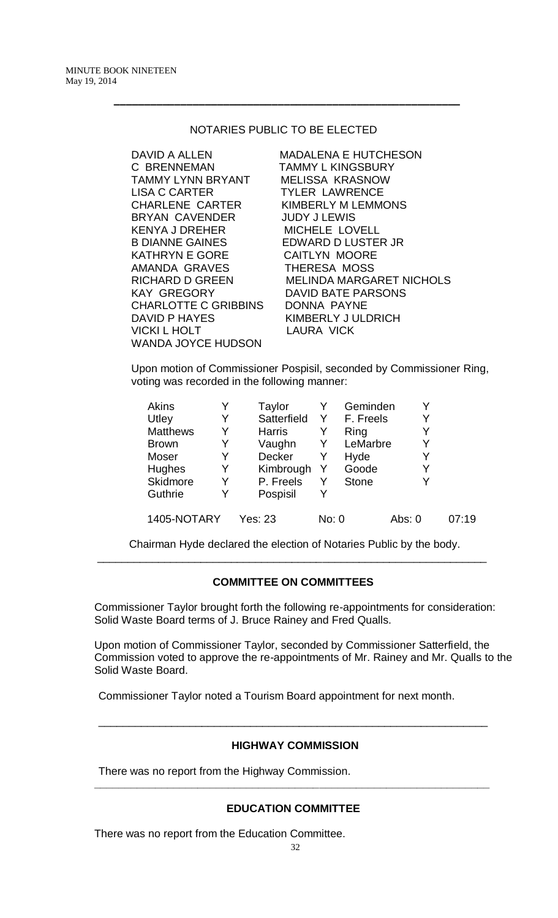# NOTARIES PUBLIC TO BE ELECTED

 **–––––––––––––––––––––––––––––––––––––––––––––––––––––––––** 

DAVID A ALLEN MADALENA E HUTCHESON C BRENNEMAN TAMMY L KINGSBURY TAMMY LYNN BRYANT MELISSA KRASNOW LISA C CARTER TYLER LAWRENCE CHARLENE CARTER KIMBERLY M LEMMONS BRYAN CAVENDER JUDY J LEWIS KENYA J DREHER MICHELE LOVELL B DIANNE GAINES EDWARD D LUSTER JR KATHRYN E GORE CAITLYN MOORE AMANDA GRAVES THERESA MOSS KAY GREGORY DAVID BATE PARSONS CHARLOTTE C GRIBBINS DONNA PAYNE DAVID P HAYES KIMBERLY J ULDRICH VICKI L HOLT LAURA VICK WANDA JOYCE HUDSON

RICHARD D GREEN MELINDA MARGARET NICHOLS

Upon motion of Commissioner Pospisil, seconded by Commissioner Ring, voting was recorded in the following manner:

| Akins           |   | Taylor        |       | Geminden     |        |       |
|-----------------|---|---------------|-------|--------------|--------|-------|
| Utley           | Y | Satterfield   | Y     | F. Freels    | Y      |       |
| <b>Matthews</b> | Y | <b>Harris</b> | Y     | Ring         | Y      |       |
| <b>Brown</b>    | Y | Vaughn        | Y     | LeMarbre     |        |       |
| Moser           | Y | <b>Decker</b> | Y     | Hyde         |        |       |
| <b>Hughes</b>   | Y | Kimbrough     | Y     | Goode        | Y      |       |
| Skidmore        | Y | P. Freels     | Y     | <b>Stone</b> |        |       |
| Guthrie         | Y | Pospisil      |       |              |        |       |
|                 |   |               |       |              |        |       |
| 1405-NOTARY     |   | Yes: 23       | No: 0 |              | Abs: 0 | 07:19 |

 Chairman Hyde declared the election of Notaries Public by the body. \_\_\_\_\_\_\_\_\_\_\_\_\_\_\_\_\_\_\_\_\_\_\_\_\_\_\_\_\_\_\_\_\_\_\_\_\_\_\_\_\_\_\_\_\_\_\_\_\_\_\_\_\_\_\_\_\_\_\_\_\_\_\_\_

# **COMMITTEE ON COMMITTEES**

Commissioner Taylor brought forth the following re-appointments for consideration: Solid Waste Board terms of J. Bruce Rainey and Fred Qualls.

Upon motion of Commissioner Taylor, seconded by Commissioner Satterfield, the Commission voted to approve the re-appointments of Mr. Rainey and Mr. Qualls to the Solid Waste Board.

Commissioner Taylor noted a Tourism Board appointment for next month.

# **HIGHWAY COMMISSION**

\_\_\_\_\_\_\_\_\_\_\_\_\_\_\_\_\_\_\_\_\_\_\_\_\_\_\_\_\_\_\_\_\_\_\_\_\_\_\_\_\_\_\_\_\_\_\_\_\_\_\_\_\_\_\_\_\_\_\_\_\_\_\_\_

There was no report from the Highway Commission.

# **EDUCATION COMMITTEE**

**\_\_\_\_\_\_\_\_\_\_\_\_\_\_\_\_\_\_\_\_\_\_\_\_\_\_\_\_\_\_\_\_\_\_\_\_\_\_\_\_\_\_\_\_\_\_\_\_\_\_\_\_\_\_\_\_\_\_\_\_\_\_\_\_\_**

There was no report from the Education Committee.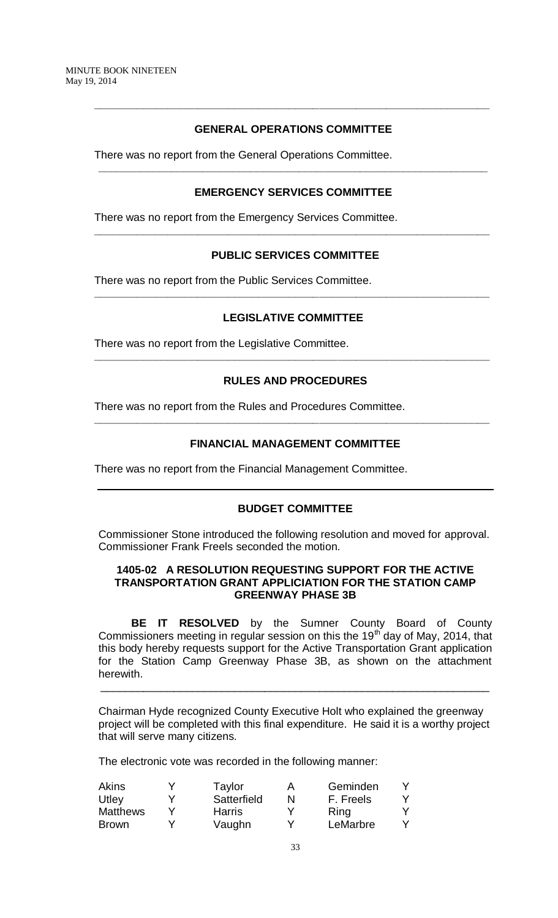# **GENERAL OPERATIONS COMMITTEE**

**\_\_\_\_\_\_\_\_\_\_\_\_\_\_\_\_\_\_\_\_\_\_\_\_\_\_\_\_\_\_\_\_\_\_\_\_\_\_\_\_\_\_\_\_\_\_\_\_\_\_\_\_\_\_\_\_\_\_\_\_\_\_\_\_\_**

There was no report from the General Operations Committee.

# **EMERGENCY SERVICES COMMITTEE**

**\_\_\_\_\_\_\_\_\_\_\_\_\_\_\_\_\_\_\_\_\_\_\_\_\_\_\_\_\_\_\_\_\_\_\_\_\_\_\_\_\_\_\_\_\_\_\_\_\_\_\_\_\_\_\_\_\_\_\_\_\_\_\_\_**

There was no report from the Emergency Services Committee.

# **PUBLIC SERVICES COMMITTEE**

**\_\_\_\_\_\_\_\_\_\_\_\_\_\_\_\_\_\_\_\_\_\_\_\_\_\_\_\_\_\_\_\_\_\_\_\_\_\_\_\_\_\_\_\_\_\_\_\_\_\_\_\_\_\_\_\_\_\_\_\_\_\_\_\_\_**

There was no report from the Public Services Committee.

### **LEGISLATIVE COMMITTEE**

**\_\_\_\_\_\_\_\_\_\_\_\_\_\_\_\_\_\_\_\_\_\_\_\_\_\_\_\_\_\_\_\_\_\_\_\_\_\_\_\_\_\_\_\_\_\_\_\_\_\_\_\_\_\_\_\_\_\_\_\_\_\_\_\_\_**

There was no report from the Legislative Committee.

# **RULES AND PROCEDURES**

**\_\_\_\_\_\_\_\_\_\_\_\_\_\_\_\_\_\_\_\_\_\_\_\_\_\_\_\_\_\_\_\_\_\_\_\_\_\_\_\_\_\_\_\_\_\_\_\_\_\_\_\_\_\_\_\_\_\_\_\_\_\_\_\_\_**

There was no report from the Rules and Procedures Committee.

### **FINANCIAL MANAGEMENT COMMITTEE**

**\_\_\_\_\_\_\_\_\_\_\_\_\_\_\_\_\_\_\_\_\_\_\_\_\_\_\_\_\_\_\_\_\_\_\_\_\_\_\_\_\_\_\_\_\_\_\_\_\_\_\_\_\_\_\_\_\_\_\_\_\_\_\_\_\_**

There was no report from the Financial Management Committee.

#### **BUDGET COMMITTEE**

Commissioner Stone introduced the following resolution and moved for approval. Commissioner Frank Freels seconded the motion.

# **1405-02 A RESOLUTION REQUESTING SUPPORT FOR THE ACTIVE TRANSPORTATION GRANT APPLICIATION FOR THE STATION CAMP GREENWAY PHASE 3B**

**BE IT RESOLVED** by the Sumner County Board of County Commissioners meeting in regular session on this the 19<sup>th</sup> day of May, 2014, that this body hereby requests support for the Active Transportation Grant application for the Station Camp Greenway Phase 3B, as shown on the attachment herewith.

Chairman Hyde recognized County Executive Holt who explained the greenway project will be completed with this final expenditure. He said it is a worthy project that will serve many citizens.

\_\_\_\_\_\_\_\_\_\_\_\_\_\_\_\_\_\_\_\_\_\_\_\_\_\_\_\_\_\_\_\_\_\_\_\_\_\_\_\_\_\_\_\_\_\_\_\_\_\_\_\_\_\_\_\_\_\_\_\_\_\_\_\_

The electronic vote was recorded in the following manner:

| Akins           | Taylor        | Α | Geminden  |  |
|-----------------|---------------|---|-----------|--|
| Utley           | Satterfield   | N | F. Freels |  |
| <b>Matthews</b> | <b>Harris</b> |   | Ring      |  |
| <b>Brown</b>    | Vaughn        |   | LeMarbre  |  |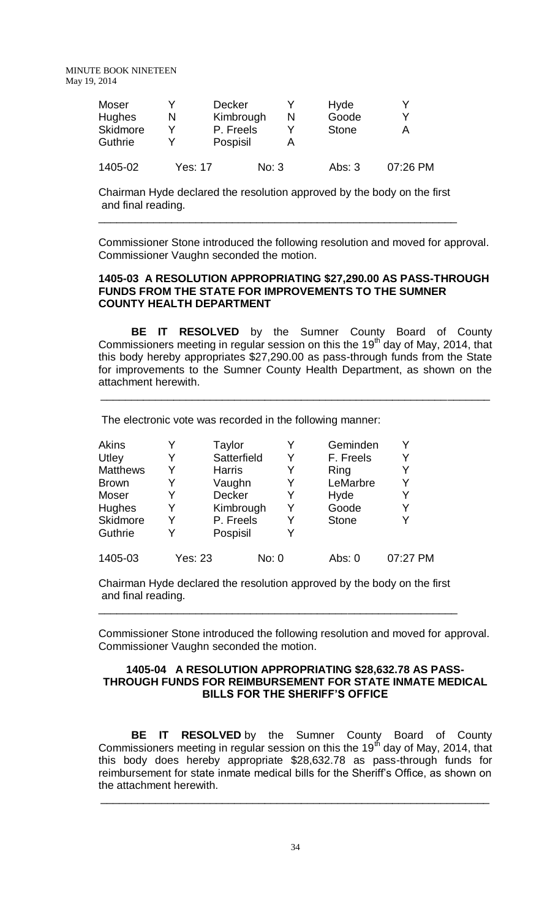MINUTE BOOK NINETEEN May 19, 2014

| Moser<br><b>Hughes</b><br><b>Skidmore</b><br><b>Guthrie</b> | N       | <b>Decker</b><br>Kimbrough<br>P. Freels<br>Pospisil | N     | Hyde<br>Goode<br><b>Stone</b> |          |
|-------------------------------------------------------------|---------|-----------------------------------------------------|-------|-------------------------------|----------|
| 1405-02                                                     | Yes: 17 |                                                     | No: 3 | Abs: $3$                      | 07:26 PM |

Chairman Hyde declared the resolution approved by the body on the first and final reading.

\_\_\_\_\_\_\_\_\_\_\_\_\_\_\_\_\_\_\_\_\_\_\_\_\_\_\_\_\_\_\_\_\_\_\_\_\_\_\_\_\_\_\_\_\_\_\_\_\_\_\_\_\_\_\_\_\_\_\_

Commissioner Stone introduced the following resolution and moved for approval. Commissioner Vaughn seconded the motion.

### **1405-03 A RESOLUTION APPROPRIATING \$27,290.00 AS PASS-THROUGH FUNDS FROM THE STATE FOR IMPROVEMENTS TO THE SUMNER COUNTY HEALTH DEPARTMENT**

**BE IT RESOLVED** by the Sumner County Board of County Commissioners meeting in regular session on this the 19<sup>th</sup> day of May, 2014, that this body hereby appropriates \$27,290.00 as pass-through funds from the State for improvements to the Sumner County Health Department, as shown on the attachment herewith.

\_\_\_\_\_\_\_\_\_\_\_\_\_\_\_\_\_\_\_\_\_\_\_\_\_\_\_\_\_\_\_\_\_\_\_\_\_\_\_\_\_\_\_\_\_\_\_\_\_\_\_\_\_\_\_\_\_\_\_\_\_\_\_\_

The electronic vote was recorded in the following manner:

| Akins           | Y       | Taylor        |       | Geminden     |          |
|-----------------|---------|---------------|-------|--------------|----------|
| Utley           | Y       | Satterfield   | Y     | F. Freels    | Y        |
| <b>Matthews</b> | Y       | <b>Harris</b> | Y     | Ring         | Y        |
| <b>Brown</b>    | Y       | Vaughn        | Y     | LeMarbre     | Y        |
| Moser           | Y       | Decker        | Y     | Hyde         | Y        |
| Hughes          | Y       | Kimbrough     | Y     | Goode        | Y        |
| Skidmore        | Y       | P. Freels     | Y     | <b>Stone</b> | Y        |
| Guthrie         | Y       | Pospisil      |       |              |          |
| 1405-03         | Yes: 23 |               | No: 0 | Abs: 0       | 07:27 PM |

Chairman Hyde declared the resolution approved by the body on the first and final reading.

\_\_\_\_\_\_\_\_\_\_\_\_\_\_\_\_\_\_\_\_\_\_\_\_\_\_\_\_\_\_\_\_\_\_\_\_\_\_\_\_\_\_\_\_\_\_\_\_\_\_\_\_\_\_\_\_\_\_\_

Commissioner Stone introduced the following resolution and moved for approval. Commissioner Vaughn seconded the motion.

#### **1405-04 A RESOLUTION APPROPRIATING \$28,632.78 AS PASS-THROUGH FUNDS FOR REIMBURSEMENT FOR STATE INMATE MEDICAL BILLS FOR THE SHERIFF'S OFFICE**

**BE IT RESOLVED** by the Sumner County Board of County Commissioners meeting in regular session on this the 19<sup>th</sup> day of May, 2014, that this body does hereby appropriate \$28,632.78 as pass-through funds for reimbursement for state inmate medical bills for the Sheriff's Office, as shown on the attachment herewith. \_\_\_\_\_\_\_\_\_\_\_\_\_\_\_\_\_\_\_\_\_\_\_\_\_\_\_\_\_\_\_\_\_\_\_\_\_\_\_\_\_\_\_\_\_\_\_\_\_\_\_\_\_\_\_\_\_\_\_\_\_\_\_\_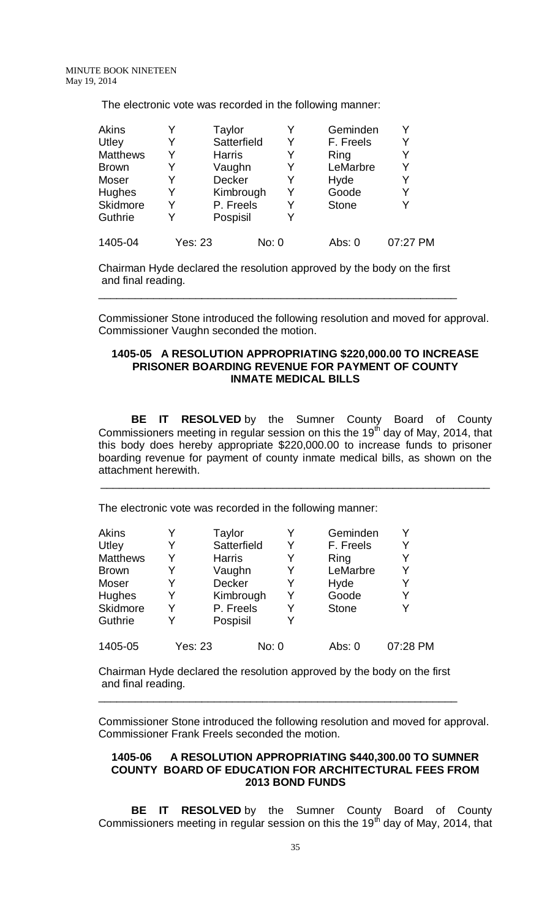The electronic vote was recorded in the following manner:

| Akins           |                | Taylor        | Y     | Geminden     | Y        |
|-----------------|----------------|---------------|-------|--------------|----------|
| Utley           | Y              | Satterfield   | Y     | F. Freels    | Y        |
| <b>Matthews</b> | Y              | <b>Harris</b> | Y     | Ring         | Y        |
| <b>Brown</b>    |                | Vaughn        | Y     | LeMarbre     | Y        |
| Moser           | Y              | Decker        | Y     | Hyde         | Y        |
| Hughes          | Y              | Kimbrough     | Y     | Goode        | Y        |
| <b>Skidmore</b> | Y              | P. Freels     | Y     | <b>Stone</b> | Y        |
| <b>Guthrie</b>  |                | Pospisil      | Y     |              |          |
| 1405-04         | <b>Yes: 23</b> |               | No: 0 | Abs: 0       | 07:27 PM |

Chairman Hyde declared the resolution approved by the body on the first and final reading.

\_\_\_\_\_\_\_\_\_\_\_\_\_\_\_\_\_\_\_\_\_\_\_\_\_\_\_\_\_\_\_\_\_\_\_\_\_\_\_\_\_\_\_\_\_\_\_\_\_\_\_\_\_\_\_\_\_\_\_

Commissioner Stone introduced the following resolution and moved for approval. Commissioner Vaughn seconded the motion.

#### **1405-05 A RESOLUTION APPROPRIATING \$220,000.00 TO INCREASE PRISONER BOARDING REVENUE FOR PAYMENT OF COUNTY INMATE MEDICAL BILLS**

**BE IT RESOLVED** by the Sumner County Board of County Commissioners meeting in regular session on this the 19<sup>th</sup> day of May, 2014, that this body does hereby appropriate \$220,000.00 to increase funds to prisoner boarding revenue for payment of county inmate medical bills, as shown on the attachment herewith.

\_\_\_\_\_\_\_\_\_\_\_\_\_\_\_\_\_\_\_\_\_\_\_\_\_\_\_\_\_\_\_\_\_\_\_\_\_\_\_\_\_\_\_\_\_\_\_\_\_\_\_\_\_\_\_\_\_\_\_\_\_\_\_\_

The electronic vote was recorded in the following manner:

| Akins           |                | Taylor        |       | Geminden     |          |
|-----------------|----------------|---------------|-------|--------------|----------|
| Utley           | Y              | Satterfield   | Y     | F. Freels    | Y        |
| <b>Matthews</b> | Y              | <b>Harris</b> | Y     | Ring         | Y        |
| <b>Brown</b>    | Y              | Vaughn        | Y     | LeMarbre     | Y        |
| Moser           | Y              | Decker        | Y     | Hyde         | Y        |
| <b>Hughes</b>   | Y              | Kimbrough     | Y     | Goode        | Y        |
| Skidmore        | Y              | P. Freels     | Y     | <b>Stone</b> | V        |
| Guthrie         | Y              | Pospisil      | Y     |              |          |
| 1405-05         | <b>Yes: 23</b> |               | No: 0 | Abs: 0       | 07:28 PM |

Chairman Hyde declared the resolution approved by the body on the first and final reading.

\_\_\_\_\_\_\_\_\_\_\_\_\_\_\_\_\_\_\_\_\_\_\_\_\_\_\_\_\_\_\_\_\_\_\_\_\_\_\_\_\_\_\_\_\_\_\_\_\_\_\_\_\_\_\_\_\_\_\_

Commissioner Stone introduced the following resolution and moved for approval. Commissioner Frank Freels seconded the motion.

# **1405-06 A RESOLUTION APPROPRIATING \$440,300.00 TO SUMNER COUNTY BOARD OF EDUCATION FOR ARCHITECTURAL FEES FROM 2013 BOND FUNDS**

**BE IT RESOLVED** by the Sumner County Board of County Commissioners meeting in regular session on this the 19<sup>th</sup> day of May, 2014, that